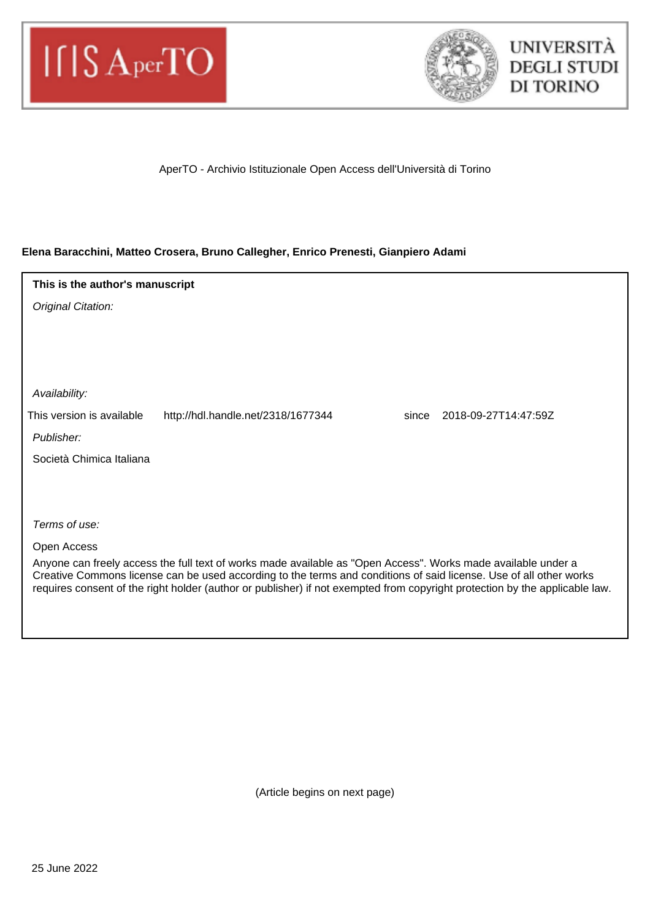



AperTO - Archivio Istituzionale Open Access dell'Università di Torino

## **Elena Baracchini, Matteo Crosera, Bruno Callegher, Enrico Prenesti, Gianpiero Adami**

Original Citation: Publisher: Terms of use: Open Access Anyone can freely access the full text of works made available as "Open Access". Works made available under a Creative Commons license can be used according to the terms and conditions of said license. Use of all other works requires consent of the right holder (author or publisher) if not exempted from copyright protection by the applicable law. Availability: Società Chimica Italiana **This is the author's manuscript** This version is available http://hdl.handle.net/2318/1677344 since 2018-09-27T14:47:59Z

(Article begins on next page)